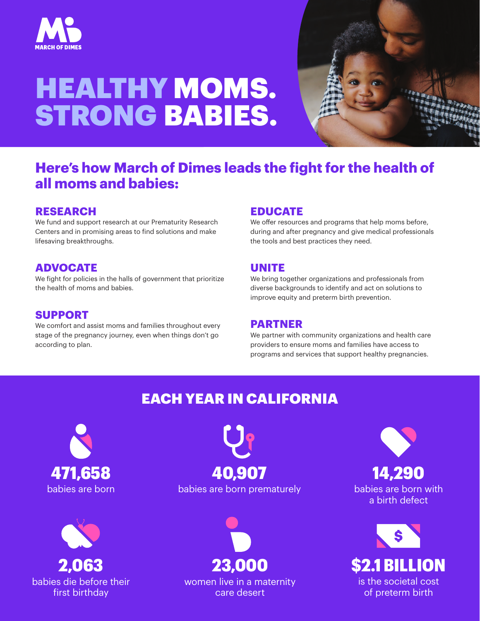

# HEALTHY MOMS. STRONG BABIES.



## **Here's how March of Dimes leads the fight for the health of all moms and babies:**

#### **RESEARCH**

We fund and support research at our Prematurity Research Centers and in promising areas to find solutions and make lifesaving breakthroughs.

### **ADVOCATE**

We fight for policies in the halls of government that prioritize the health of moms and babies.

#### **SUPPORT**

We comfort and assist moms and families throughout every stage of the pregnancy journey, even when things don't go according to plan.

#### **EDUCATE**

We offer resources and programs that help moms before, during and after pregnancy and give medical professionals the tools and best practices they need.

#### **UNITE**

We bring together organizations and professionals from diverse backgrounds to identify and act on solutions to improve equity and preterm birth prevention.

#### **PARTNER**

We partner with community organizations and health care providers to ensure moms and families have access to programs and services that support healthy pregnancies.

# EACH YEAR IN CALIFORNIA





babies are born babies are born prematurely 471,658 40,907



women live in a maternity care desert

14,290

babies are born with a birth defect